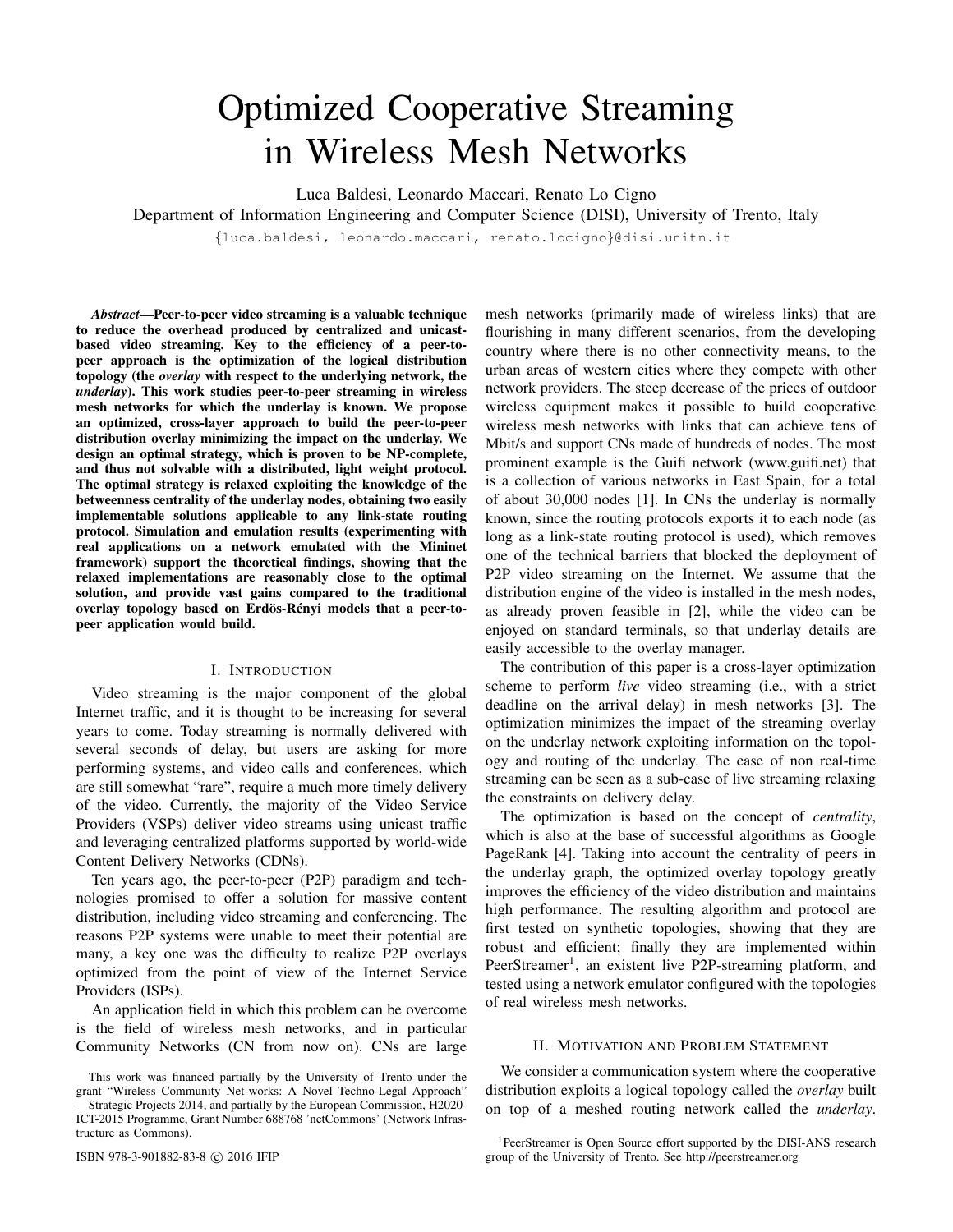# Optimized Cooperative Streaming in Wireless Mesh Networks

Luca Baldesi, Leonardo Maccari, Renato Lo Cigno

Department of Information Engineering and Computer Science (DISI), University of Trento, Italy

{luca.baldesi, leonardo.maccari, renato.locigno}@disi.unitn.it

*Abstract*—Peer-to-peer video streaming is a valuable technique to reduce the overhead produced by centralized and unicastbased video streaming. Key to the efficiency of a peer-topeer approach is the optimization of the logical distribution topology (the *overlay* with respect to the underlying network, the *underlay*). This work studies peer-to-peer streaming in wireless mesh networks for which the underlay is known. We propose an optimized, cross-layer approach to build the peer-to-peer distribution overlay minimizing the impact on the underlay. We design an optimal strategy, which is proven to be NP-complete, and thus not solvable with a distributed, light weight protocol. The optimal strategy is relaxed exploiting the knowledge of the betweenness centrality of the underlay nodes, obtaining two easily implementable solutions applicable to any link-state routing protocol. Simulation and emulation results (experimenting with real applications on a network emulated with the Mininet framework) support the theoretical findings, showing that the relaxed implementations are reasonably close to the optimal solution, and provide vast gains compared to the traditional overlay topology based on Erdös-Rényi models that a peer-topeer application would build.

# I. INTRODUCTION

Video streaming is the major component of the global Internet traffic, and it is thought to be increasing for several years to come. Today streaming is normally delivered with several seconds of delay, but users are asking for more performing systems, and video calls and conferences, which are still somewhat "rare", require a much more timely delivery of the video. Currently, the majority of the Video Service Providers (VSPs) deliver video streams using unicast traffic and leveraging centralized platforms supported by world-wide Content Delivery Networks (CDNs).

Ten years ago, the peer-to-peer (P2P) paradigm and technologies promised to offer a solution for massive content distribution, including video streaming and conferencing. The reasons P2P systems were unable to meet their potential are many, a key one was the difficulty to realize P2P overlays optimized from the point of view of the Internet Service Providers (ISPs).

An application field in which this problem can be overcome is the field of wireless mesh networks, and in particular Community Networks (CN from now on). CNs are large

mesh networks (primarily made of wireless links) that are flourishing in many different scenarios, from the developing country where there is no other connectivity means, to the urban areas of western cities where they compete with other network providers. The steep decrease of the prices of outdoor wireless equipment makes it possible to build cooperative wireless mesh networks with links that can achieve tens of Mbit/s and support CNs made of hundreds of nodes. The most prominent example is the Guifi network (www.guifi.net) that is a collection of various networks in East Spain, for a total of about 30,000 nodes [1]. In CNs the underlay is normally known, since the routing protocols exports it to each node (as long as a link-state routing protocol is used), which removes one of the technical barriers that blocked the deployment of P2P video streaming on the Internet. We assume that the distribution engine of the video is installed in the mesh nodes, as already proven feasible in [2], while the video can be enjoyed on standard terminals, so that underlay details are easily accessible to the overlay manager.

The contribution of this paper is a cross-layer optimization scheme to perform *live* video streaming (i.e., with a strict deadline on the arrival delay) in mesh networks [3]. The optimization minimizes the impact of the streaming overlay on the underlay network exploiting information on the topology and routing of the underlay. The case of non real-time streaming can be seen as a sub-case of live streaming relaxing the constraints on delivery delay.

The optimization is based on the concept of *centrality*, which is also at the base of successful algorithms as Google PageRank [4]. Taking into account the centrality of peers in the underlay graph, the optimized overlay topology greatly improves the efficiency of the video distribution and maintains high performance. The resulting algorithm and protocol are first tested on synthetic topologies, showing that they are robust and efficient; finally they are implemented within PeerStreamer<sup>1</sup>, an existent live P2P-streaming platform, and tested using a network emulator configured with the topologies of real wireless mesh networks.

## II. MOTIVATION AND PROBLEM STATEMENT

We consider a communication system where the cooperative distribution exploits a logical topology called the *overlay* built on top of a meshed routing network called the *underlay*.

This work was financed partially by the University of Trento under the grant "Wireless Community Net-works: A Novel Techno-Legal Approach" —Strategic Projects 2014, and partially by the European Commission, H2020- ICT-2015 Programme, Grant Number 688768 'netCommons' (Network Infrastructure as Commons).

<sup>&</sup>lt;sup>1</sup>PeerStreamer is Open Source effort supported by the DISI-ANS research ISBN 978-3-901882-83-8 © 2016 IFIP group of the University of Trento. See http://peerstreamer.org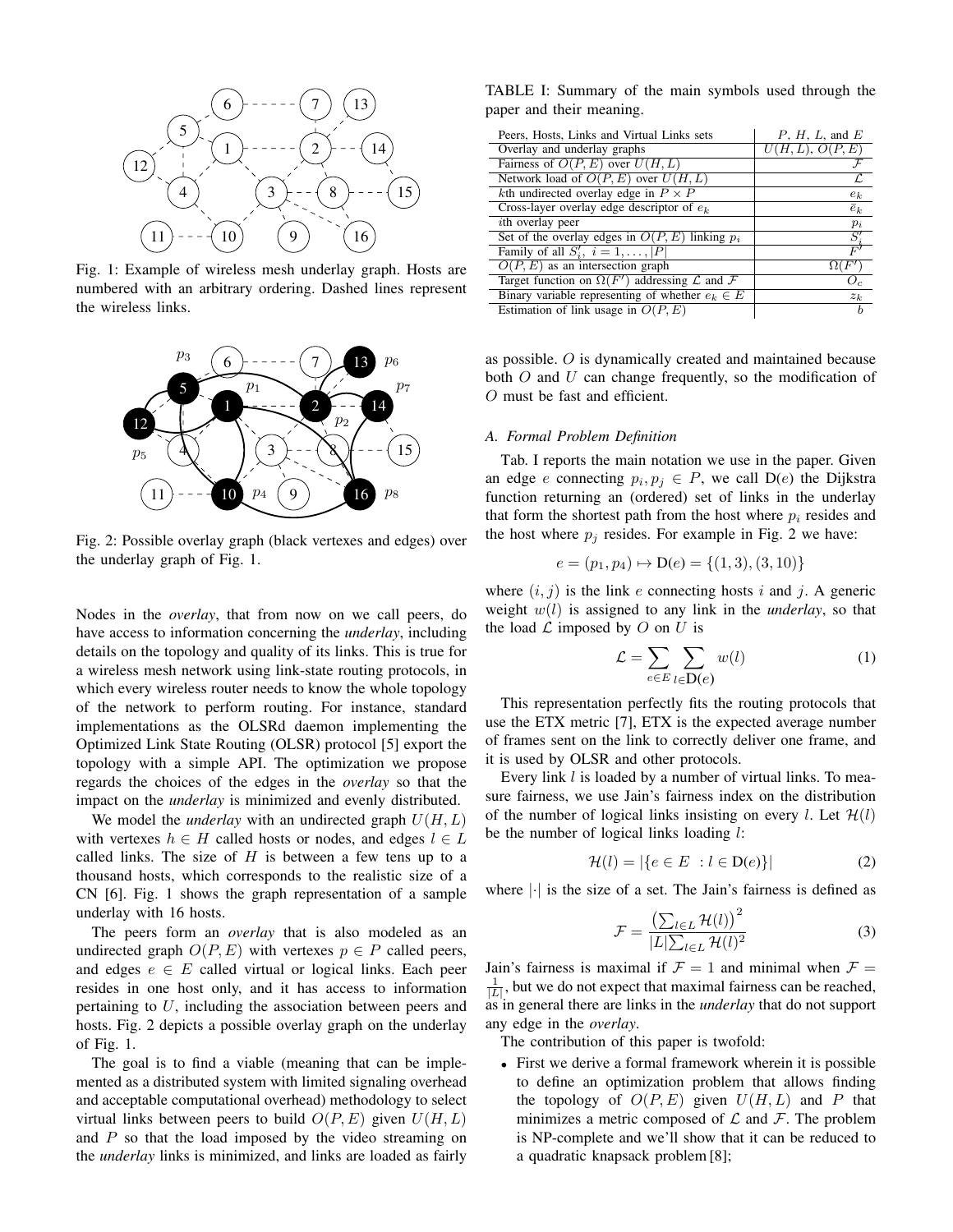

Fig. 1: Example of wireless mesh underlay graph. Hosts are numbered with an arbitrary ordering. Dashed lines represent the wireless links.



Fig. 2: Possible overlay graph (black vertexes and edges) over the underlay graph of Fig. 1.

Nodes in the *overlay*, that from now on we call peers, do have access to information concerning the *underlay*, including details on the topology and quality of its links. This is true for a wireless mesh network using link-state routing protocols, in which every wireless router needs to know the whole topology of the network to perform routing. For instance, standard implementations as the OLSRd daemon implementing the Optimized Link State Routing (OLSR) protocol [5] export the topology with a simple API. The optimization we propose regards the choices of the edges in the *overlay* so that the impact on the *underlay* is minimized and evenly distributed.

We model the *underlay* with an undirected graph  $U(H, L)$ with vertexes  $h \in H$  called hosts or nodes, and edges  $l \in L$ called links. The size of  $H$  is between a few tens up to a thousand hosts, which corresponds to the realistic size of a CN [6]. Fig. 1 shows the graph representation of a sample underlay with 16 hosts.

The peers form an *overlay* that is also modeled as an undirected graph  $O(P, E)$  with vertexes  $p \in P$  called peers, and edges  $e \in E$  called virtual or logical links. Each peer resides in one host only, and it has access to information pertaining to U, including the association between peers and hosts. Fig. 2 depicts a possible overlay graph on the underlay of Fig. 1.

The goal is to find a viable (meaning that can be implemented as a distributed system with limited signaling overhead and acceptable computational overhead) methodology to select virtual links between peers to build  $O(P, E)$  given  $U(H, L)$ and  $P$  so that the load imposed by the video streaming on the *underlay* links is minimized, and links are loaded as fairly

TABLE I: Summary of the main symbols used through the paper and their meaning.

| Peers, Hosts, Links and Virtual Links sets                               | $P, H, L,$ and $E$      |
|--------------------------------------------------------------------------|-------------------------|
| Overlay and underlay graphs                                              | U(H,L), O(P,E)          |
| Fairness of $O(P, E)$ over $U(H, L)$                                     |                         |
| Network load of $O(P, E)$ over $U(H, L)$                                 |                         |
| kth undirected overlay edge in $P \times P$                              | $e_k$                   |
| Cross-layer overlay edge descriptor of $e_k$                             | $\bar{e}_k$             |
| <i>i</i> th overlay peer                                                 | $p_i$                   |
| Set of the overlay edges in $O(P, E)$ linking $p_i$                      | $S_i'$                  |
| Family of all $S'_i$ , $i = 1, \ldots,  P $                              | $\overline{F}^{\prime}$ |
| $O(P, E)$ as an intersection graph                                       | H                       |
| Target function on $\Omega(F')$ addressing $\mathcal L$ and $\mathcal F$ | $O_c$                   |
| Binary variable representing of whether $e_k \in E$                      | $z_k$                   |
| Estimation of link usage in $O(P, E)$                                    | h                       |

as possible. O is dynamically created and maintained because both  $O$  and  $U$  can change frequently, so the modification of O must be fast and efficient.

## *A. Formal Problem Definition*

Tab. I reports the main notation we use in the paper. Given an edge e connecting  $p_i, p_j \in P$ , we call  $D(e)$  the Dijkstra function returning an (ordered) set of links in the underlay that form the shortest path from the host where  $p_i$  resides and the host where  $p_i$  resides. For example in Fig. 2 we have:

$$
e = (p_1, p_4) \mapsto D(e) = \{(1, 3), (3, 10)\}
$$

where  $(i, j)$  is the link e connecting hosts i and j. A generic weight  $w(l)$  is assigned to any link in the *underlay*, so that the load  $\mathcal L$  imposed by  $O$  on  $U$  is

$$
\mathcal{L} = \sum_{e \in E} \sum_{l \in \mathbf{D}(e)} w(l) \tag{1}
$$

This representation perfectly fits the routing protocols that use the ETX metric [7], ETX is the expected average number of frames sent on the link to correctly deliver one frame, and it is used by OLSR and other protocols.

Every link  $l$  is loaded by a number of virtual links. To measure fairness, we use Jain's fairness index on the distribution of the number of logical links insisting on every l. Let  $\mathcal{H}(l)$ be the number of logical links loading l:

$$
\mathcal{H}(l) = |\{e \in E : l \in \mathcal{D}(e)\}| \tag{2}
$$

where  $\lvert \cdot \rvert$  is the size of a set. The Jain's fairness is defined as

$$
\mathcal{F} = \frac{\left(\sum_{l \in L} \mathcal{H}(l)\right)^2}{|L|\sum_{l \in L} \mathcal{H}(l)^2}
$$
(3)

Jain's fairness is maximal if  $\mathcal{F} = 1$  and minimal when  $\mathcal{F} =$  $\frac{1}{|L|}$ , but we do not expect that maximal fairness can be reached, as in general there are links in the *underlay* that do not support any edge in the *overlay*.

The contribution of this paper is twofold:

• First we derive a formal framework wherein it is possible to define an optimization problem that allows finding the topology of  $O(P, E)$  given  $U(H, L)$  and P that minimizes a metric composed of  $\mathcal L$  and  $\mathcal F$ . The problem is NP-complete and we'll show that it can be reduced to a quadratic knapsack problem [8];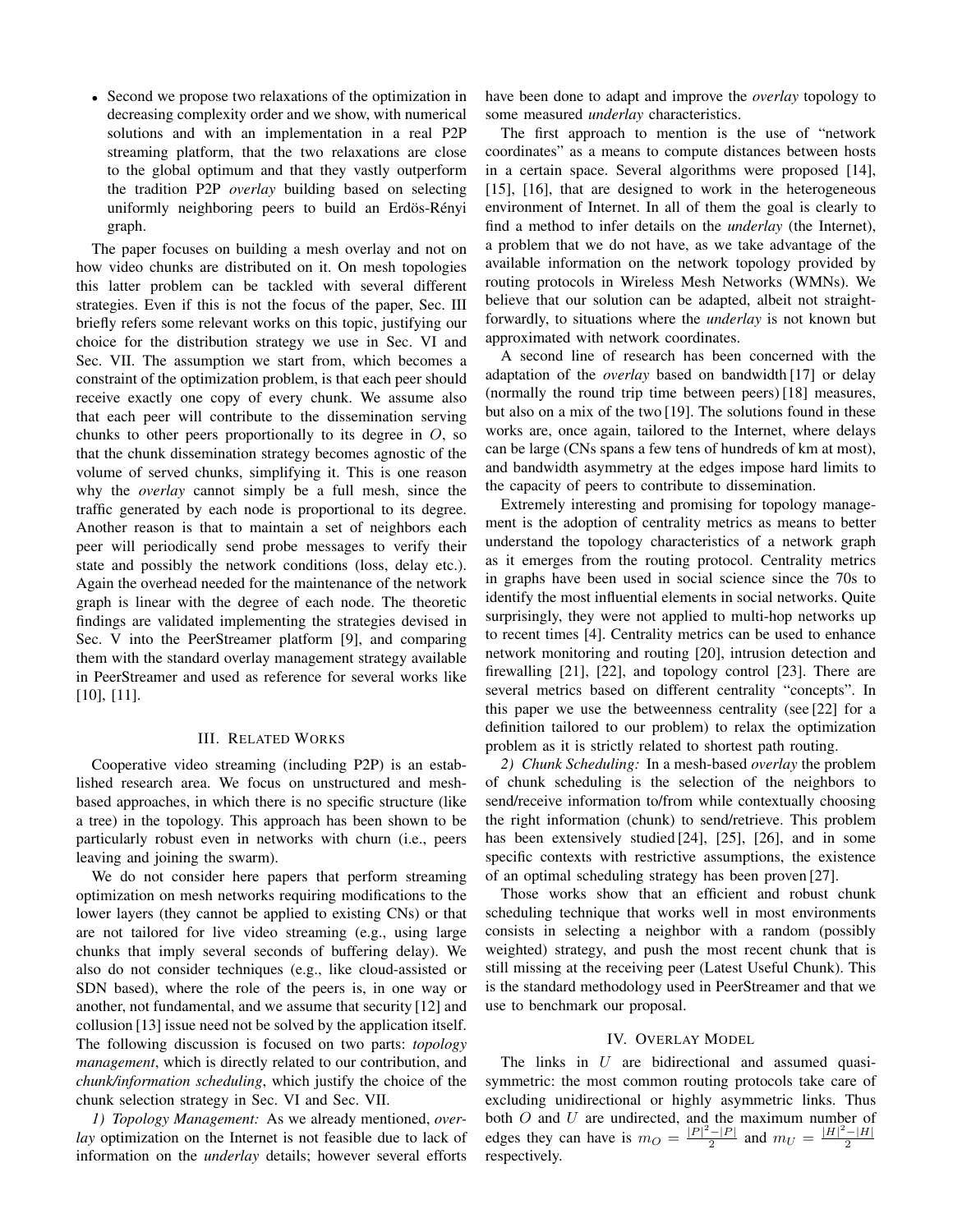• Second we propose two relaxations of the optimization in decreasing complexity order and we show, with numerical solutions and with an implementation in a real P2P streaming platform, that the two relaxations are close to the global optimum and that they vastly outperform the tradition P2P *overlay* building based on selecting uniformly neighboring peers to build an Erdös-Rényi graph.

The paper focuses on building a mesh overlay and not on how video chunks are distributed on it. On mesh topologies this latter problem can be tackled with several different strategies. Even if this is not the focus of the paper, Sec. III briefly refers some relevant works on this topic, justifying our choice for the distribution strategy we use in Sec. VI and Sec. VII. The assumption we start from, which becomes a constraint of the optimization problem, is that each peer should receive exactly one copy of every chunk. We assume also that each peer will contribute to the dissemination serving chunks to other peers proportionally to its degree in  $O$ , so that the chunk dissemination strategy becomes agnostic of the volume of served chunks, simplifying it. This is one reason why the *overlay* cannot simply be a full mesh, since the traffic generated by each node is proportional to its degree. Another reason is that to maintain a set of neighbors each peer will periodically send probe messages to verify their state and possibly the network conditions (loss, delay etc.). Again the overhead needed for the maintenance of the network graph is linear with the degree of each node. The theoretic findings are validated implementing the strategies devised in Sec. V into the PeerStreamer platform [9], and comparing them with the standard overlay management strategy available in PeerStreamer and used as reference for several works like [10], [11].

## III. RELATED WORKS

Cooperative video streaming (including P2P) is an established research area. We focus on unstructured and meshbased approaches, in which there is no specific structure (like a tree) in the topology. This approach has been shown to be particularly robust even in networks with churn (i.e., peers leaving and joining the swarm).

We do not consider here papers that perform streaming optimization on mesh networks requiring modifications to the lower layers (they cannot be applied to existing CNs) or that are not tailored for live video streaming (e.g., using large chunks that imply several seconds of buffering delay). We also do not consider techniques (e.g., like cloud-assisted or SDN based), where the role of the peers is, in one way or another, not fundamental, and we assume that security [12] and collusion [13] issue need not be solved by the application itself. The following discussion is focused on two parts: *topology management*, which is directly related to our contribution, and *chunk/information scheduling*, which justify the choice of the chunk selection strategy in Sec. VI and Sec. VII.

*1) Topology Management:* As we already mentioned, *overlay* optimization on the Internet is not feasible due to lack of information on the *underlay* details; however several efforts have been done to adapt and improve the *overlay* topology to some measured *underlay* characteristics.

The first approach to mention is the use of "network coordinates" as a means to compute distances between hosts in a certain space. Several algorithms were proposed [14], [15], [16], that are designed to work in the heterogeneous environment of Internet. In all of them the goal is clearly to find a method to infer details on the *underlay* (the Internet), a problem that we do not have, as we take advantage of the available information on the network topology provided by routing protocols in Wireless Mesh Networks (WMNs). We believe that our solution can be adapted, albeit not straightforwardly, to situations where the *underlay* is not known but approximated with network coordinates.

A second line of research has been concerned with the adaptation of the *overlay* based on bandwidth [17] or delay (normally the round trip time between peers) [18] measures, but also on a mix of the two [19]. The solutions found in these works are, once again, tailored to the Internet, where delays can be large (CNs spans a few tens of hundreds of km at most), and bandwidth asymmetry at the edges impose hard limits to the capacity of peers to contribute to dissemination.

Extremely interesting and promising for topology management is the adoption of centrality metrics as means to better understand the topology characteristics of a network graph as it emerges from the routing protocol. Centrality metrics in graphs have been used in social science since the 70s to identify the most influential elements in social networks. Quite surprisingly, they were not applied to multi-hop networks up to recent times [4]. Centrality metrics can be used to enhance network monitoring and routing [20], intrusion detection and firewalling [21], [22], and topology control [23]. There are several metrics based on different centrality "concepts". In this paper we use the betweenness centrality (see [22] for a definition tailored to our problem) to relax the optimization problem as it is strictly related to shortest path routing.

*2) Chunk Scheduling:* In a mesh-based *overlay* the problem of chunk scheduling is the selection of the neighbors to send/receive information to/from while contextually choosing the right information (chunk) to send/retrieve. This problem has been extensively studied [24], [25], [26], and in some specific contexts with restrictive assumptions, the existence of an optimal scheduling strategy has been proven [27].

Those works show that an efficient and robust chunk scheduling technique that works well in most environments consists in selecting a neighbor with a random (possibly weighted) strategy, and push the most recent chunk that is still missing at the receiving peer (Latest Useful Chunk). This is the standard methodology used in PeerStreamer and that we use to benchmark our proposal.

# IV. OVERLAY MODEL

The links in U are bidirectional and assumed quasisymmetric: the most common routing protocols take care of excluding unidirectional or highly asymmetric links. Thus both  $O$  and  $U$  are undirected, and the maximum number of edges they can have is  $m_O = \frac{|P|^2 - |P|}{2}$  $\frac{|H|^2 - |H|}{2}$  and  $m_U = \frac{|H|^2 - |H|}{2}$ 2 respectively.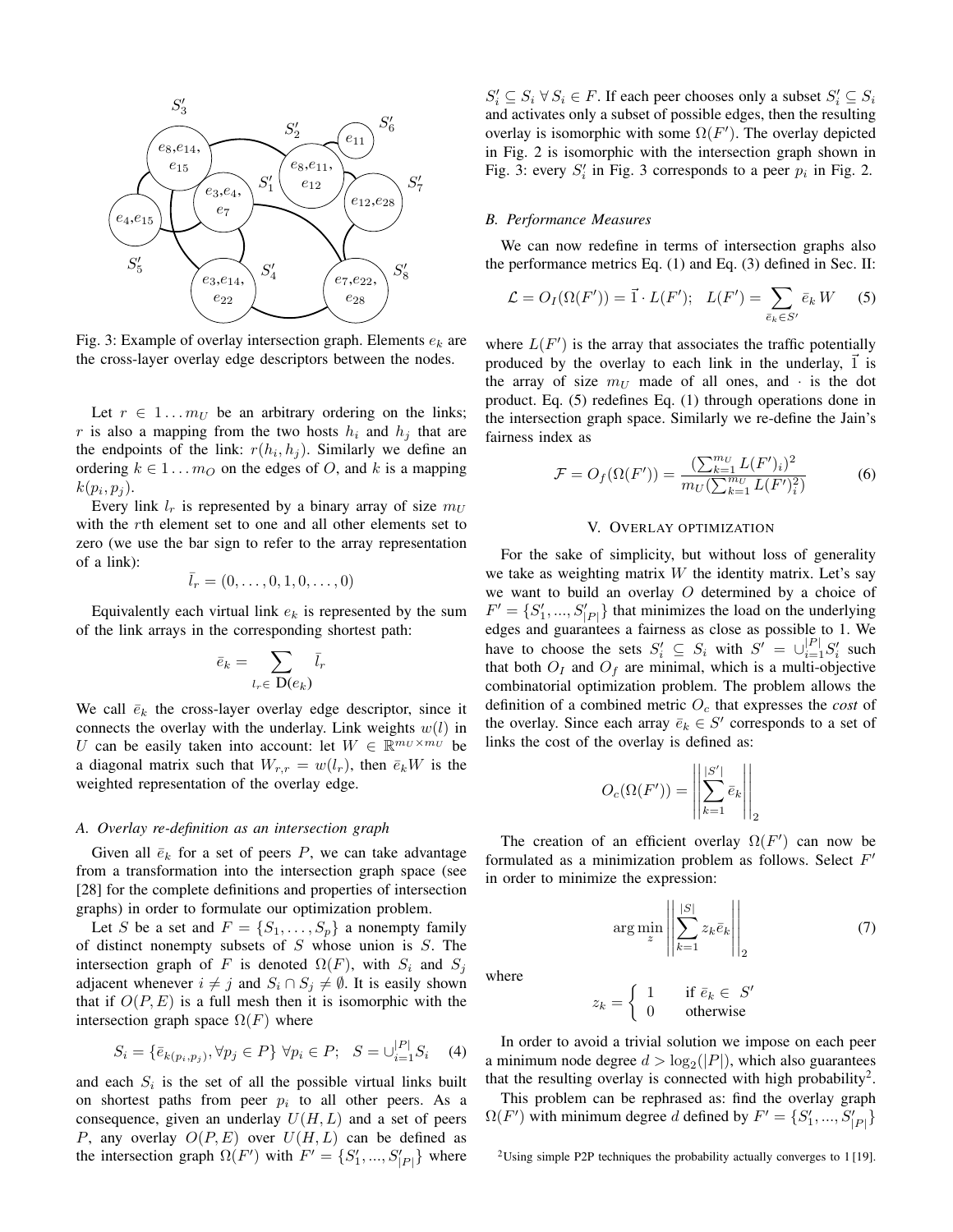

Fig. 3: Example of overlay intersection graph. Elements  $e_k$  are the cross-layer overlay edge descriptors between the nodes.

Let  $r \in 1...m_U$  be an arbitrary ordering on the links; r is also a mapping from the two hosts  $h_i$  and  $h_j$  that are the endpoints of the link:  $r(h_i, h_j)$ . Similarly we define an ordering  $k \in 1 \dots m_Q$  on the edges of O, and k is a mapping  $k(p_i, p_j)$ .

Every link  $l_r$  is represented by a binary array of size  $m_U$ with the *r*th element set to one and all other elements set to zero (we use the bar sign to refer to the array representation of a link):

$$
\bar{l}_r=(0,\ldots,0,1,0,\ldots,0)
$$

Equivalently each virtual link  $e_k$  is represented by the sum of the link arrays in the corresponding shortest path:

$$
\bar{e}_k = \sum_{l_r \in \mathbf{D}(e_k)} \bar{l}_r
$$

We call  $\bar{e}_k$  the cross-layer overlay edge descriptor, since it connects the overlay with the underlay. Link weights  $w(l)$  in U can be easily taken into account: let  $W \in \mathbb{R}^{m_U \times m_U}$  be a diagonal matrix such that  $W_{r,r} = w(l_r)$ , then  $\bar{e}_k W$  is the weighted representation of the overlay edge.

#### *A. Overlay re-definition as an intersection graph*

Given all  $\bar{e}_k$  for a set of peers P, we can take advantage from a transformation into the intersection graph space (see [28] for the complete definitions and properties of intersection graphs) in order to formulate our optimization problem.

Let S be a set and  $F = \{S_1, \ldots, S_p\}$  a nonempty family of distinct nonempty subsets of  $S$  whose union is  $S$ . The intersection graph of F is denoted  $\Omega(F)$ , with  $S_i$  and  $S_j$ adjacent whenever  $i \neq j$  and  $S_i \cap S_j \neq \emptyset$ . It is easily shown that if  $O(P, E)$  is a full mesh then it is isomorphic with the intersection graph space  $\Omega(F)$  where

$$
S_i = \{ \bar{e}_{k(p_i, p_j)}, \forall p_j \in P \} \ \forall p_i \in P; \ \ S = \cup_{i=1}^{|P|} S_i \tag{4}
$$

and each  $S_i$  is the set of all the possible virtual links built on shortest paths from peer  $p_i$  to all other peers. As a consequence, given an underlay  $U(H, L)$  and a set of peers P, any overlay  $O(P, E)$  over  $U(H, L)$  can be defined as the intersection graph  $\Omega(F')$  with  $F' = \{S'_1, ..., S'_{|P|}\}\$  where

 $S_i' \subseteq S_i \ \forall \ S_i \in F$ . If each peer chooses only a subset  $S_i' \subseteq S_i$ and activates only a subset of possible edges, then the resulting overlay is isomorphic with some  $\Omega(F')$ . The overlay depicted in Fig. 2 is isomorphic with the intersection graph shown in Fig. 3: every  $S_i'$  in Fig. 3 corresponds to a peer  $p_i$  in Fig. 2.

# *B. Performance Measures*

We can now redefine in terms of intersection graphs also the performance metrics Eq. (1) and Eq. (3) defined in Sec. II:

$$
\mathcal{L} = O_I(\Omega(F')) = \vec{1} \cdot L(F'); \quad L(F') = \sum_{\bar{e}_k \in S'} \bar{e}_k \, W \tag{5}
$$

where  $L(F')$  is the array that associates the traffic potentially produced by the overlay to each link in the underlay,  $\vec{1}$  is the array of size  $m_U$  made of all ones, and  $\cdot$  is the dot product. Eq. (5) redefines Eq. (1) through operations done in the intersection graph space. Similarly we re-define the Jain's fairness index as

$$
\mathcal{F} = O_f(\Omega(F')) = \frac{\left(\sum_{k=1}^{m_U} L(F')_i\right)^2}{m_U(\sum_{k=1}^{m_U} L(F')_i^2)}
$$
(6)

#### V. OVERLAY OPTIMIZATION

For the sake of simplicity, but without loss of generality we take as weighting matrix  $W$  the identity matrix. Let's say we want to build an overlay  $O$  determined by a choice of  $F' = \{S'_1, ..., S'_{|P|}\}\$ that minimizes the load on the underlying edges and guarantees a fairness as close as possible to 1. We have to choose the sets  $S_i' \subseteq S_i$  with  $S' = \bigcup_{i=1}^{|P|} S_i'$  such that both  $O<sub>I</sub>$  and  $O<sub>f</sub>$  are minimal, which is a multi-objective combinatorial optimization problem. The problem allows the definition of a combined metric  $O_c$  that expresses the *cost* of the overlay. Since each array  $\bar{e}_k \in S'$  corresponds to a set of links the cost of the overlay is defined as:

$$
O_c(\Omega(F')) = \left\| \sum_{k=1}^{|S'|} \bar{e}_k \right\|_2
$$

The creation of an efficient overlay  $\Omega(F')$  can now be formulated as a minimization problem as follows. Select  $F'$ in order to minimize the expression:

$$
\arg\min_{z} \left\| \sum_{k=1}^{|S|} z_k \bar{e}_k \right\|_2 \tag{7}
$$

where

$$
z_k = \begin{cases} 1 & \text{if } \bar{e}_k \in S' \\ 0 & \text{otherwise} \end{cases}
$$

In order to avoid a trivial solution we impose on each peer a minimum node degree  $d > log_2(|P|)$ , which also guarantees that the resulting overlay is connected with high probability<sup>2</sup>.

This problem can be rephrased as: find the overlay graph  $\Omega(F')$  with minimum degree d defined by  $F' = \{S'_1, ..., S'_{|P|}\}\$ 

<sup>2</sup>Using simple P2P techniques the probability actually converges to 1 [19].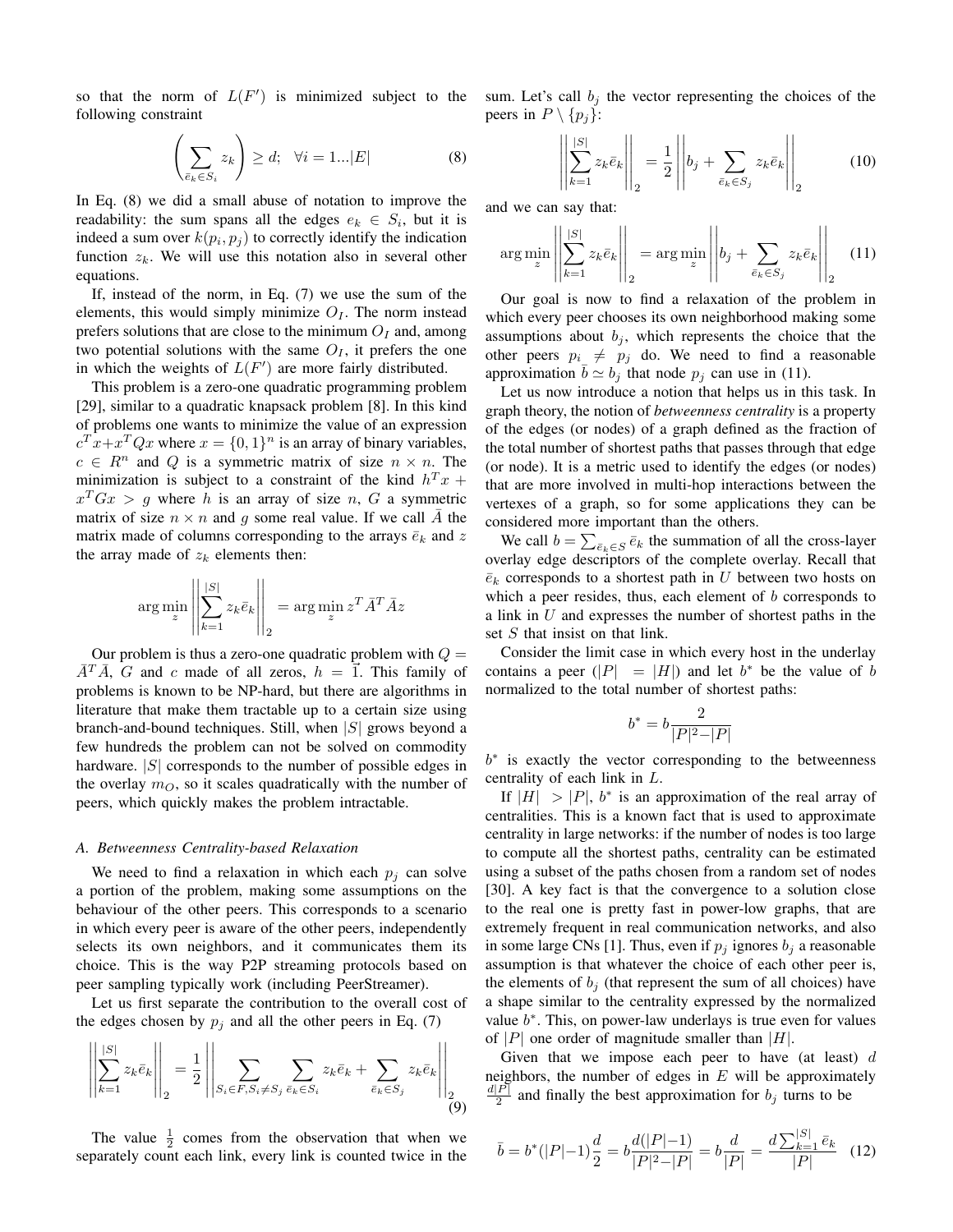so that the norm of  $L(F')$  is minimized subject to the following constraint

$$
\left(\sum_{\bar{e}_k \in S_i} z_k\right) \ge d; \quad \forall i = 1...|E| \tag{8}
$$

In Eq. (8) we did a small abuse of notation to improve the readability: the sum spans all the edges  $e_k \in S_i$ , but it is indeed a sum over  $k(p_i, p_j)$  to correctly identify the indication function  $z_k$ . We will use this notation also in several other equations.

If, instead of the norm, in Eq. (7) we use the sum of the elements, this would simply minimize  $O<sub>I</sub>$ . The norm instead prefers solutions that are close to the minimum  $O_I$  and, among two potential solutions with the same  $O<sub>I</sub>$ , it prefers the one in which the weights of  $L(F')$  are more fairly distributed.

This problem is a zero-one quadratic programming problem [29], similar to a quadratic knapsack problem [8]. In this kind of problems one wants to minimize the value of an expression  $c^T x + x^T Q x$  where  $x = \{0, 1\}^n$  is an array of binary variables,  $c \in R^n$  and Q is a symmetric matrix of size  $n \times n$ . The minimization is subject to a constraint of the kind  $h<sup>T</sup> x +$  $x^T G x > g$  where h is an array of size n, G a symmetric matrix of size  $n \times n$  and g some real value. If we call  $\overline{A}$  the matrix made of columns corresponding to the arrays  $\bar{e}_k$  and z the array made of  $z_k$  elements then:

$$
\arg\min_{z} \left\| \sum_{k=1}^{|S|} z_k \bar{e}_k \right\|_2 = \arg\min_{z} z^T \bar{A}^T \bar{A} z
$$

Our problem is thus a zero-one quadratic problem with  $Q =$  $A<sup>T</sup>A$ , G and c made of all zeros,  $h = \overline{1}$ . This family of problems is known to be NP-hard, but there are algorithms in literature that make them tractable up to a certain size using branch-and-bound techniques. Still, when  $|S|$  grows beyond a few hundreds the problem can not be solved on commodity hardware.  $|S|$  corresponds to the number of possible edges in the overlay  $m_O$ , so it scales quadratically with the number of peers, which quickly makes the problem intractable.

## *A. Betweenness Centrality-based Relaxation*

We need to find a relaxation in which each  $p_i$  can solve a portion of the problem, making some assumptions on the behaviour of the other peers. This corresponds to a scenario in which every peer is aware of the other peers, independently selects its own neighbors, and it communicates them its choice. This is the way P2P streaming protocols based on peer sampling typically work (including PeerStreamer).

Let us first separate the contribution to the overall cost of the edges chosen by  $p_j$  and all the other peers in Eq. (7)

$$
\left\| \sum_{k=1}^{|S|} z_k \bar{e}_k \right\|_2 = \frac{1}{2} \left\| \sum_{S_i \in F, S_i \neq S_j} \sum_{\bar{e}_k \in S_i} z_k \bar{e}_k + \sum_{\bar{e}_k \in S_j} z_k \bar{e}_k \right\|_2
$$
(9)

The value  $\frac{1}{2}$  comes from the observation that when we separately count each link, every link is counted twice in the sum. Let's call  $b_j$  the vector representing the choices of the peers in  $P \setminus \{p_j\}$ :

$$
\left\| \sum_{k=1}^{|S|} z_k \bar{e}_k \right\|_2 = \frac{1}{2} \left\| b_j + \sum_{\bar{e}_k \in S_j} z_k \bar{e}_k \right\|_2 \tag{10}
$$

and we can say that:

$$
\arg\min_{z} \left\| \sum_{k=1}^{|S|} z_k \overline{e}_k \right\|_2 = \arg\min_{z} \left\| b_j + \sum_{\overline{e}_k \in S_j} z_k \overline{e}_k \right\|_2 \quad (11)
$$

Our goal is now to find a relaxation of the problem in which every peer chooses its own neighborhood making some assumptions about  $b_j$ , which represents the choice that the other peers  $p_i \neq p_j$  do. We need to find a reasonable approximation  $b \simeq b_j$  that node  $p_j$  can use in (11).

Let us now introduce a notion that helps us in this task. In graph theory, the notion of *betweenness centrality* is a property of the edges (or nodes) of a graph defined as the fraction of the total number of shortest paths that passes through that edge (or node). It is a metric used to identify the edges (or nodes) that are more involved in multi-hop interactions between the vertexes of a graph, so for some applications they can be considered more important than the others.

We call  $b = \sum_{\bar{e}_k \in S} \bar{e}_k$  the summation of all the cross-layer overlay edge descriptors of the complete overlay. Recall that  $\bar{e}_k$  corresponds to a shortest path in U between two hosts on which a peer resides, thus, each element of  $b$  corresponds to a link in  $U$  and expresses the number of shortest paths in the set  $S$  that insist on that link.

Consider the limit case in which every host in the underlay contains a peer  $(|P| = |H|)$  and let  $b^*$  be the value of b normalized to the total number of shortest paths:

$$
b^*=b\frac{2}{|P|^2-|P|}
$$

b ∗ is exactly the vector corresponding to the betweenness centrality of each link in L.

If  $|H| > |P|$ ,  $b^*$  is an approximation of the real array of centralities. This is a known fact that is used to approximate centrality in large networks: if the number of nodes is too large to compute all the shortest paths, centrality can be estimated using a subset of the paths chosen from a random set of nodes [30]. A key fact is that the convergence to a solution close to the real one is pretty fast in power-low graphs, that are extremely frequent in real communication networks, and also in some large CNs [1]. Thus, even if  $p_j$  ignores  $b_j$  a reasonable assumption is that whatever the choice of each other peer is, the elements of  $b_j$  (that represent the sum of all choices) have a shape similar to the centrality expressed by the normalized value  $b^*$ . This, on power-law underlays is true even for values of |P| one order of magnitude smaller than |H|.

Given that we impose each peer to have (at least)  $d$ neighbors, the number of edges in  $E$  will be approximately  $d|P|$  $\frac{P}{2}$  and finally the best approximation for  $b_j$  turns to be

$$
\bar{b} = b^* (|P| - 1) \frac{d}{2} = b \frac{d(|P| - 1)}{|P|^2 - |P|} = b \frac{d}{|P|} = \frac{d \sum_{k=1}^{|S|} \bar{e}_k}{|P|} \tag{12}
$$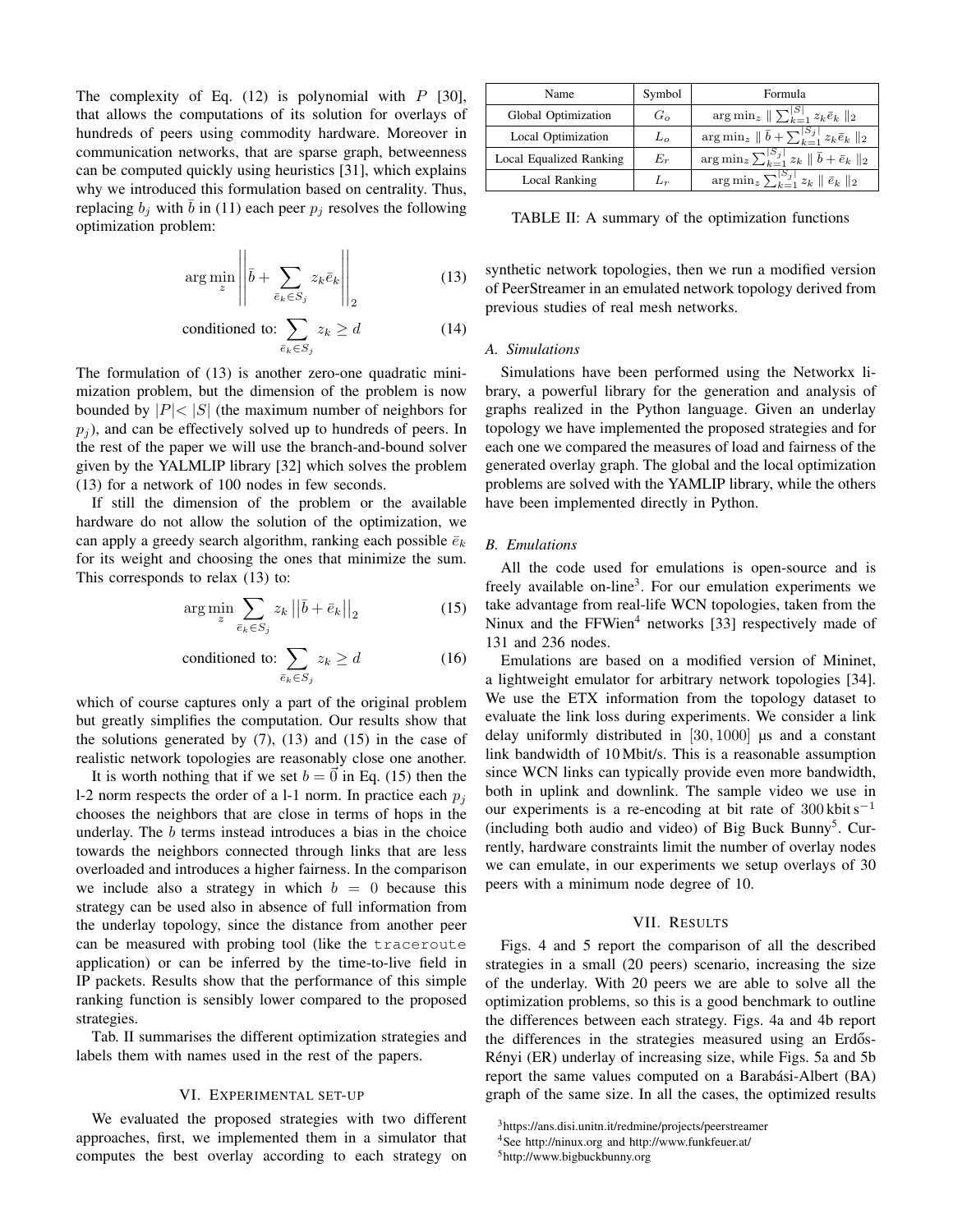The complexity of Eq.  $(12)$  is polynomial with P [30], that allows the computations of its solution for overlays of hundreds of peers using commodity hardware. Moreover in communication networks, that are sparse graph, betweenness can be computed quickly using heuristics [31], which explains why we introduced this formulation based on centrality. Thus, replacing  $b_j$  with  $\bar{b}$  in (11) each peer  $p_j$  resolves the following optimization problem:

$$
\arg\min_{z} \left\| \bar{b} + \sum_{\bar{e}_k \in S_j} z_k \bar{e}_k \right\|_2 \tag{13}
$$

$$
conditioned to: \sum_{\bar{e}_k \in S_j} z_k \ge d \tag{14}
$$

The formulation of (13) is another zero-one quadratic minimization problem, but the dimension of the problem is now bounded by  $|P| < |S|$  (the maximum number of neighbors for  $p_i$ ), and can be effectively solved up to hundreds of peers. In the rest of the paper we will use the branch-and-bound solver given by the YALMLIP library [32] which solves the problem (13) for a network of 100 nodes in few seconds.

If still the dimension of the problem or the available hardware do not allow the solution of the optimization, we can apply a greedy search algorithm, ranking each possible  $\bar{e}_k$ for its weight and choosing the ones that minimize the sum. This corresponds to relax (13) to:

$$
\arg\min_{z} \sum_{\bar{e}_k \in S_j} z_k ||\bar{b} + \bar{e}_k||_2 \tag{15}
$$

$$
conditioned to: \sum_{\bar{e}_k \in S_j} z_k \ge d \tag{16}
$$

which of course captures only a part of the original problem but greatly simplifies the computation. Our results show that the solutions generated by  $(7)$ ,  $(13)$  and  $(15)$  in the case of realistic network topologies are reasonably close one another.

It is worth nothing that if we set  $b = \overline{0}$  in Eq. (15) then the l-2 norm respects the order of a l-1 norm. In practice each  $p_i$ chooses the neighbors that are close in terms of hops in the underlay. The b terms instead introduces a bias in the choice towards the neighbors connected through links that are less overloaded and introduces a higher fairness. In the comparison we include also a strategy in which  $b = 0$  because this strategy can be used also in absence of full information from the underlay topology, since the distance from another peer can be measured with probing tool (like the traceroute application) or can be inferred by the time-to-live field in IP packets. Results show that the performance of this simple ranking function is sensibly lower compared to the proposed strategies.

Tab. II summarises the different optimization strategies and labels them with names used in the rest of the papers.

## VI. EXPERIMENTAL SET-UP

We evaluated the proposed strategies with two different approaches, first, we implemented them in a simulator that computes the best overlay according to each strategy on

| Name                    | Symbol       | Formula                                                                                            |
|-------------------------|--------------|----------------------------------------------------------------------------------------------------|
| Global Optimization     | $G_{\alpha}$ | $\arg \min_z \  \sum_{k=1}^{ S } z_k \bar{e}_k \ _2$                                               |
| Local Optimization      | $L_o$        | $\arg \min_{z} \ \bar{b} + \sum_{k=1}^{ S_j } z_k \bar{e}_k\ _2$                                   |
| Local Equalized Ranking | $E_r$        | $\overline{\arg\min_z \sum_{k=1}^{ S_j } z_k} \parallel \overline{b} + \overline{e}_k \parallel_2$ |
| Local Ranking           | $L_{r}$      | $\overline{\arg\min_z \sum_{k=1}^{ S_j } z_k \parallel \bar{e}_k \parallel_2}$                     |

TABLE II: A summary of the optimization functions

synthetic network topologies, then we run a modified version of PeerStreamer in an emulated network topology derived from previous studies of real mesh networks.

## *A. Simulations*

Simulations have been performed using the Networkx library, a powerful library for the generation and analysis of graphs realized in the Python language. Given an underlay topology we have implemented the proposed strategies and for each one we compared the measures of load and fairness of the generated overlay graph. The global and the local optimization problems are solved with the YAMLIP library, while the others have been implemented directly in Python.

#### *B. Emulations*

All the code used for emulations is open-source and is freely available on-line<sup>3</sup>. For our emulation experiments we take advantage from real-life WCN topologies, taken from the Ninux and the  $FFWien<sup>4</sup>$  networks [33] respectively made of 131 and 236 nodes.

Emulations are based on a modified version of Mininet, a lightweight emulator for arbitrary network topologies [34]. We use the ETX information from the topology dataset to evaluate the link loss during experiments. We consider a link delay uniformly distributed in  $[30, 1000]$  µs and a constant link bandwidth of 10 Mbit/s. This is a reasonable assumption since WCN links can typically provide even more bandwidth, both in uplink and downlink. The sample video we use in our experiments is a re-encoding at bit rate of 300 kbit s<sup>-1</sup> (including both audio and video) of Big Buck Bunny<sup>5</sup>. Currently, hardware constraints limit the number of overlay nodes we can emulate, in our experiments we setup overlays of 30 peers with a minimum node degree of 10.

## VII. RESULTS

Figs. 4 and 5 report the comparison of all the described strategies in a small (20 peers) scenario, increasing the size of the underlay. With 20 peers we are able to solve all the optimization problems, so this is a good benchmark to outline the differences between each strategy. Figs. 4a and 4b report the differences in the strategies measured using an Erdős-Rényi (ER) underlay of increasing size, while Figs. 5a and 5b report the same values computed on a Barabási-Albert (BA) graph of the same size. In all the cases, the optimized results

<sup>3</sup>https://ans.disi.unitn.it/redmine/projects/peerstreamer

<sup>4</sup>See http://ninux.org and http://www.funkfeuer.at/

<sup>5</sup>http://www.bigbuckbunny.org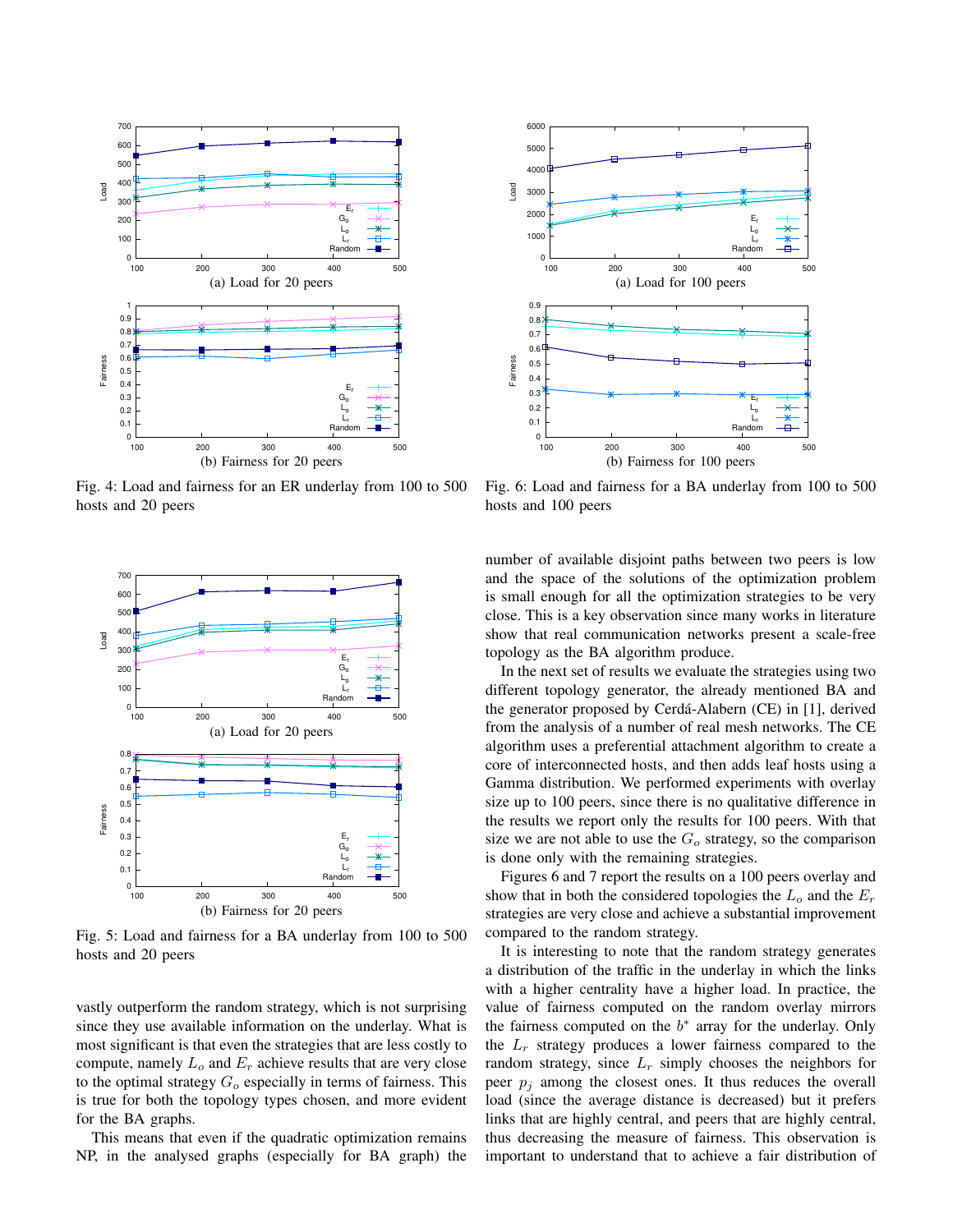

Fig. 4: Load and fairness for an ER underlay from 100 to 500 hosts and 20 peers



Fig. 5: Load and fairness for a BA underlay from 100 to 500 hosts and 20 peers

vastly outperform the random strategy, which is not surprising since they use available information on the underlay. What is most significant is that even the strategies that are less costly to compute, namely  $L<sub>o</sub>$  and  $E<sub>r</sub>$  achieve results that are very close to the optimal strategy  $G<sub>o</sub>$  especially in terms of fairness. This is true for both the topology types chosen, and more evident for the BA graphs.

This means that even if the quadratic optimization remains NP, in the analysed graphs (especially for BA graph) the



Fig. 6: Load and fairness for a BA underlay from 100 to 500 hosts and 100 peers

number of available disjoint paths between two peers is low and the space of the solutions of the optimization problem is small enough for all the optimization strategies to be very close. This is a key observation since many works in literature show that real communication networks present a scale-free topology as the BA algorithm produce.

In the next set of results we evaluate the strategies using two different topology generator, the already mentioned BA and the generator proposed by Cerdá-Alabern (CE) in [1], derived from the analysis of a number of real mesh networks. The CE algorithm uses a preferential attachment algorithm to create a core of interconnected hosts, and then adds leaf hosts using a Gamma distribution. We performed experiments with overlay size up to 100 peers, since there is no qualitative difference in the results we report only the results for 100 peers. With that size we are not able to use the  $G<sub>o</sub>$  strategy, so the comparison is done only with the remaining strategies.

Figures 6 and 7 report the results on a 100 peers overlay and show that in both the considered topologies the  $L_o$  and the  $E_r$ strategies are very close and achieve a substantial improvement compared to the random strategy.

It is interesting to note that the random strategy generates a distribution of the traffic in the underlay in which the links with a higher centrality have a higher load. In practice, the value of fairness computed on the random overlay mirrors the fairness computed on the  $b^*$  array for the underlay. Only the  $L_r$  strategy produces a lower fairness compared to the random strategy, since  $L_r$  simply chooses the neighbors for peer  $p_i$  among the closest ones. It thus reduces the overall load (since the average distance is decreased) but it prefers links that are highly central, and peers that are highly central, thus decreasing the measure of fairness. This observation is important to understand that to achieve a fair distribution of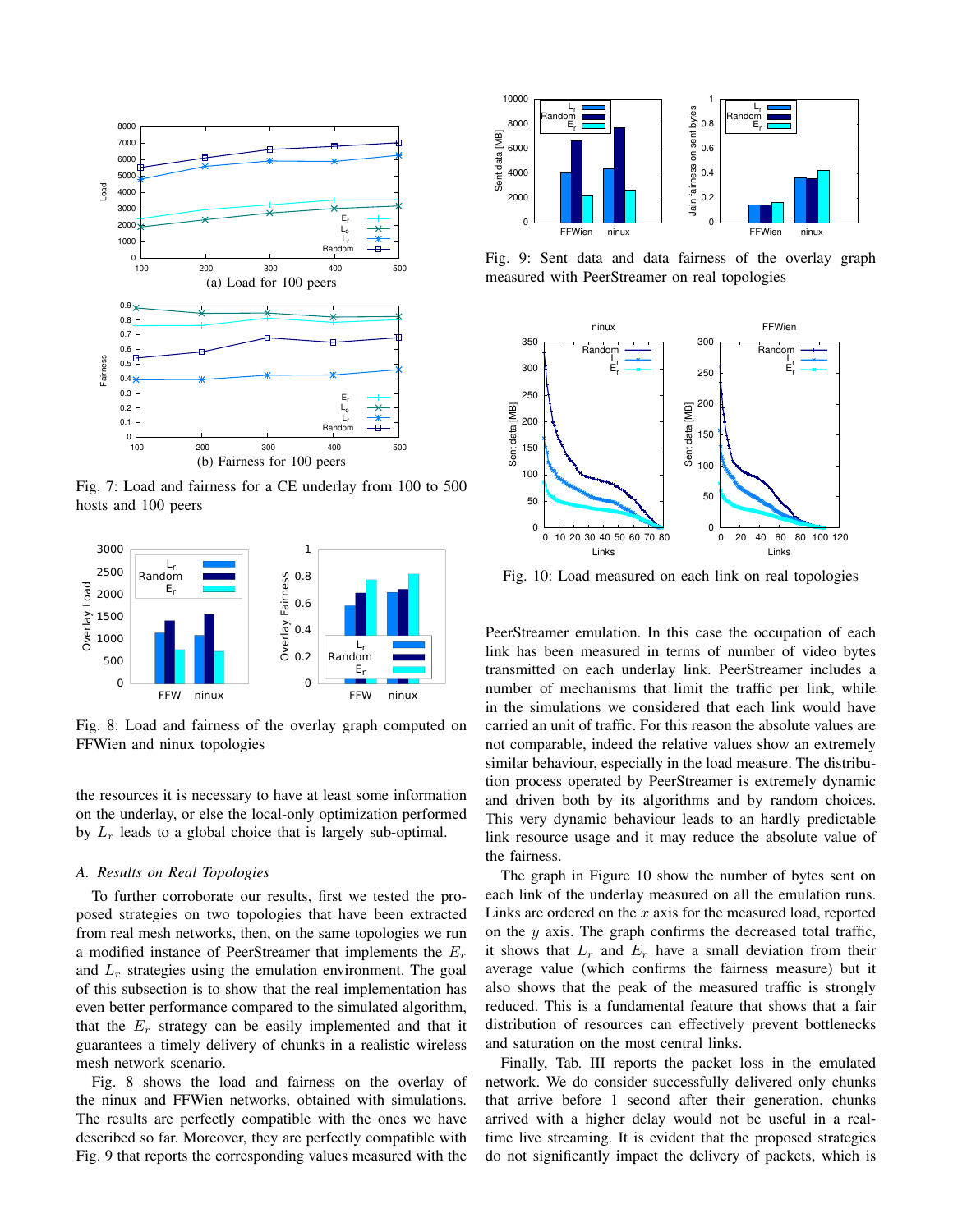

Fig. 7: Load and fairness for a CE underlay from 100 to 500 hosts and 100 peers



Fig. 8: Load and fairness of the overlay graph computed on FFWien and ninux topologies

the resources it is necessary to have at least some information on the underlay, or else the local-only optimization performed by  $L_r$  leads to a global choice that is largely sub-optimal.

# *A. Results on Real Topologies*

To further corroborate our results, first we tested the proposed strategies on two topologies that have been extracted from real mesh networks, then, on the same topologies we run a modified instance of PeerStreamer that implements the  $E_r$ and  $L_r$  strategies using the emulation environment. The goal of this subsection is to show that the real implementation has even better performance compared to the simulated algorithm, that the  $E_r$  strategy can be easily implemented and that it guarantees a timely delivery of chunks in a realistic wireless mesh network scenario.

Fig. 8 shows the load and fairness on the overlay of the ninux and FFWien networks, obtained with simulations. The results are perfectly compatible with the ones we have described so far. Moreover, they are perfectly compatible with Fig. 9 that reports the corresponding values measured with the



Fig. 9: Sent data and data fairness of the overlay graph measured with PeerStreamer on real topologies



Fig. 10: Load measured on each link on real topologies

PeerStreamer emulation. In this case the occupation of each link has been measured in terms of number of video bytes transmitted on each underlay link. PeerStreamer includes a number of mechanisms that limit the traffic per link, while in the simulations we considered that each link would have carried an unit of traffic. For this reason the absolute values are not comparable, indeed the relative values show an extremely similar behaviour, especially in the load measure. The distribution process operated by PeerStreamer is extremely dynamic and driven both by its algorithms and by random choices. This very dynamic behaviour leads to an hardly predictable link resource usage and it may reduce the absolute value of the fairness.

The graph in Figure 10 show the number of bytes sent on each link of the underlay measured on all the emulation runs. Links are ordered on the  $x$  axis for the measured load, reported on the  $y$  axis. The graph confirms the decreased total traffic, it shows that  $L_r$  and  $E_r$  have a small deviation from their average value (which confirms the fairness measure) but it also shows that the peak of the measured traffic is strongly reduced. This is a fundamental feature that shows that a fair distribution of resources can effectively prevent bottlenecks and saturation on the most central links.

Finally, Tab. III reports the packet loss in the emulated network. We do consider successfully delivered only chunks that arrive before 1 second after their generation, chunks arrived with a higher delay would not be useful in a realtime live streaming. It is evident that the proposed strategies do not significantly impact the delivery of packets, which is